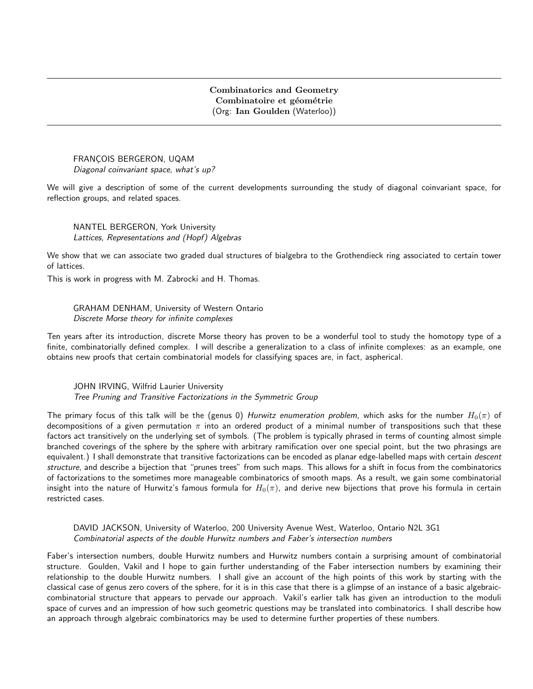## Combinatorics and Geometry Combinatoire et géométrie (Org: Ian Goulden (Waterloo))

FRANCOIS BERGERON, UQAM Diagonal coinvariant space, what's up?

We will give a description of some of the current developments surrounding the study of diagonal coinvariant space, for reflection groups, and related spaces.

NANTEL BERGERON, York University Lattices, Representations and (Hopf) Algebras

We show that we can associate two graded dual structures of bialgebra to the Grothendieck ring associated to certain tower of lattices.

This is work in progress with M. Zabrocki and H. Thomas.

GRAHAM DENHAM, University of Western Ontario Discrete Morse theory for infinite complexes

Ten years after its introduction, discrete Morse theory has proven to be a wonderful tool to study the homotopy type of a finite, combinatorially defined complex. I will describe a generalization to a class of infinite complexes: as an example, one obtains new proofs that certain combinatorial models for classifying spaces are, in fact, aspherical.

JOHN IRVING, Wilfrid Laurier University Tree Pruning and Transitive Factorizations in the Symmetric Group

The primary focus of this talk will be the (genus 0) Hurwitz enumeration problem, which asks for the number  $H_0(\pi)$  of decompositions of a given permutation  $\pi$  into an ordered product of a minimal number of transpositions such that these factors act transitively on the underlying set of symbols. (The problem is typically phrased in terms of counting almost simple branched coverings of the sphere by the sphere with arbitrary ramification over one special point, but the two phrasings are equivalent.) I shall demonstrate that transitive factorizations can be encoded as planar edge-labelled maps with certain descent structure, and describe a bijection that "prunes trees" from such maps. This allows for a shift in focus from the combinatorics of factorizations to the sometimes more manageable combinatorics of smooth maps. As a result, we gain some combinatorial insight into the nature of Hurwitz's famous formula for  $H_0(\pi)$ , and derive new bijections that prove his formula in certain restricted cases.

DAVID JACKSON, University of Waterloo, 200 University Avenue West, Waterloo, Ontario N2L 3G1 Combinatorial aspects of the double Hurwitz numbers and Faber's intersection numbers

Faber's intersection numbers, double Hurwitz numbers and Hurwitz numbers contain a surprising amount of combinatorial structure. Goulden, Vakil and I hope to gain further understanding of the Faber intersection numbers by examining their relationship to the double Hurwitz numbers. I shall give an account of the high points of this work by starting with the classical case of genus zero covers of the sphere, for it is in this case that there is a glimpse of an instance of a basic algebraiccombinatorial structure that appears to pervade our approach. Vakil's earlier talk has given an introduction to the moduli space of curves and an impression of how such geometric questions may be translated into combinatorics. I shall describe how an approach through algebraic combinatorics may be used to determine further properties of these numbers.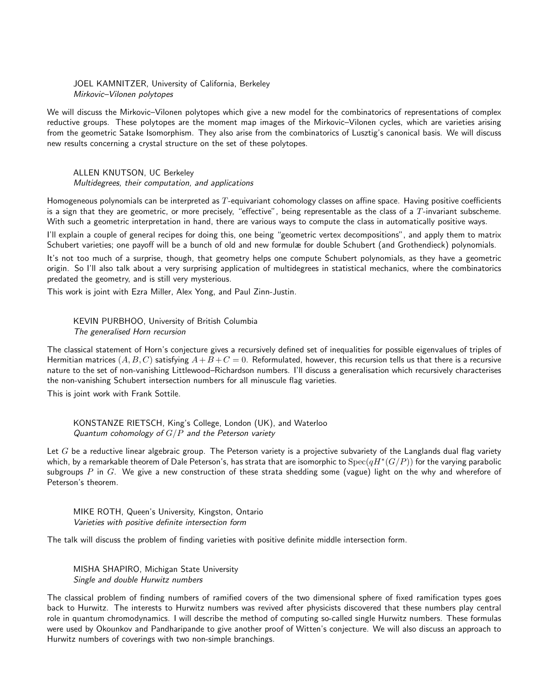JOEL KAMNITZER, University of California, Berkeley Mirkovic–Vilonen polytopes

We will discuss the Mirkovic–Vilonen polytopes which give a new model for the combinatorics of representations of complex reductive groups. These polytopes are the moment map images of the Mirkovic–Vilonen cycles, which are varieties arising from the geometric Satake Isomorphism. They also arise from the combinatorics of Lusztig's canonical basis. We will discuss new results concerning a crystal structure on the set of these polytopes.

ALLEN KNUTSON, UC Berkeley Multidegrees, their computation, and applications

Homogeneous polynomials can be interpreted as  $T$ -equivariant cohomology classes on affine space. Having positive coefficients is a sign that they are geometric, or more precisely, "effective", being representable as the class of a  $T$ -invariant subscheme. With such a geometric interpretation in hand, there are various ways to compute the class in automatically positive ways.

I'll explain a couple of general recipes for doing this, one being "geometric vertex decompositions", and apply them to matrix Schubert varieties; one payoff will be a bunch of old and new formulæ for double Schubert (and Grothendieck) polynomials.

It's not too much of a surprise, though, that geometry helps one compute Schubert polynomials, as they have a geometric origin. So I'll also talk about a very surprising application of multidegrees in statistical mechanics, where the combinatorics predated the geometry, and is still very mysterious.

This work is joint with Ezra Miller, Alex Yong, and Paul Zinn-Justin.

KEVIN PURBHOO, University of British Columbia The generalised Horn recursion

The classical statement of Horn's conjecture gives a recursively defined set of inequalities for possible eigenvalues of triples of Hermitian matrices  $(A, B, C)$  satisfying  $A+B+C=0$ . Reformulated, however, this recursion tells us that there is a recursive nature to the set of non-vanishing Littlewood–Richardson numbers. I'll discuss a generalisation which recursively characterises the non-vanishing Schubert intersection numbers for all minuscule flag varieties.

This is joint work with Frank Sottile.

KONSTANZE RIETSCH, King's College, London (UK), and Waterloo Quantum cohomology of  $G/P$  and the Peterson variety

Let  $G$  be a reductive linear algebraic group. The Peterson variety is a projective subvariety of the Langlands dual flag variety which, by a remarkable theorem of Dale Peterson's, has strata that are isomorphic to  $\mathrm{Spec}(qH^*(G/P))$  for the varying parabolic subgroups  $P$  in  $G$ . We give a new construction of these strata shedding some (vague) light on the why and wherefore of Peterson's theorem.

MIKE ROTH, Queen's University, Kingston, Ontario Varieties with positive definite intersection form

The talk will discuss the problem of finding varieties with positive definite middle intersection form.

MISHA SHAPIRO, Michigan State University Single and double Hurwitz numbers

The classical problem of finding numbers of ramified covers of the two dimensional sphere of fixed ramification types goes back to Hurwitz. The interests to Hurwitz numbers was revived after physicists discovered that these numbers play central role in quantum chromodynamics. I will describe the method of computing so-called single Hurwitz numbers. These formulas were used by Okounkov and Pandharipande to give another proof of Witten's conjecture. We will also discuss an approach to Hurwitz numbers of coverings with two non-simple branchings.